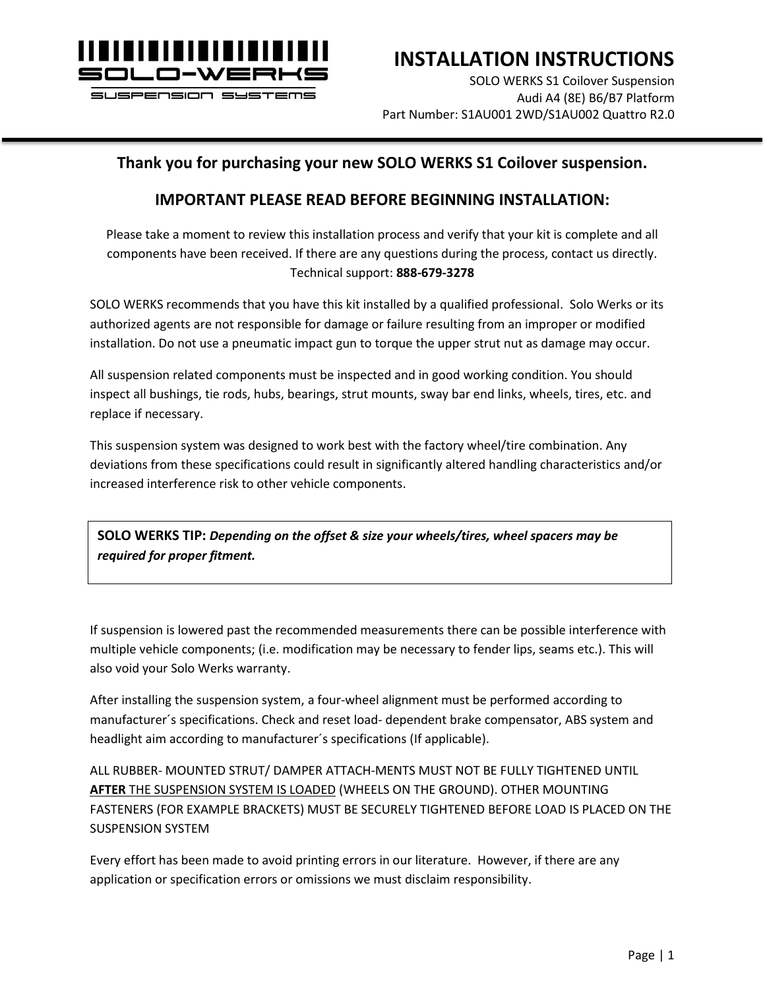

# **INSTALLATION INSTRUCTIONS**

SOLO WERKS S1 Coilover Suspension Audi A4 (8E) B6/B7 Platform Part Number: S1AU001 2WD/S1AU002 Quattro R2.0

### **Thank you for purchasing your new SOLO WERKS S1 Coilover suspension.**

### **IMPORTANT PLEASE READ BEFORE BEGINNING INSTALLATION:**

Please take a moment to review this installation process and verify that your kit is complete and all components have been received. If there are any questions during the process, contact us directly. Technical support: **888-679-3278**

SOLO WERKS recommends that you have this kit installed by a qualified professional. Solo Werks or its authorized agents are not responsible for damage or failure resulting from an improper or modified installation. Do not use a pneumatic impact gun to torque the upper strut nut as damage may occur.

All suspension related components must be inspected and in good working condition. You should inspect all bushings, tie rods, hubs, bearings, strut mounts, sway bar end links, wheels, tires, etc. and replace if necessary.

This suspension system was designed to work best with the factory wheel/tire combination. Any deviations from these specifications could result in significantly altered handling characteristics and/or increased interference risk to other vehicle components.

**SOLO WERKS TIP:** *Depending on the offset & size your wheels/tires, wheel spacers may be required for proper fitment.*

If suspension is lowered past the recommended measurements there can be possible interference with multiple vehicle components; (i.e. modification may be necessary to fender lips, seams etc.). This will also void your Solo Werks warranty.

After installing the suspension system, a four-wheel alignment must be performed according to manufacturer´s specifications. Check and reset load- dependent brake compensator, ABS system and headlight aim according to manufacturer´s specifications (If applicable).

ALL RUBBER- MOUNTED STRUT/ DAMPER ATTACH-MENTS MUST NOT BE FULLY TIGHTENED UNTIL **AFTER** THE SUSPENSION SYSTEM IS LOADED (WHEELS ON THE GROUND). OTHER MOUNTING FASTENERS (FOR EXAMPLE BRACKETS) MUST BE SECURELY TIGHTENED BEFORE LOAD IS PLACED ON THE SUSPENSION SYSTEM

Every effort has been made to avoid printing errors in our literature. However, if there are any application or specification errors or omissions we must disclaim responsibility.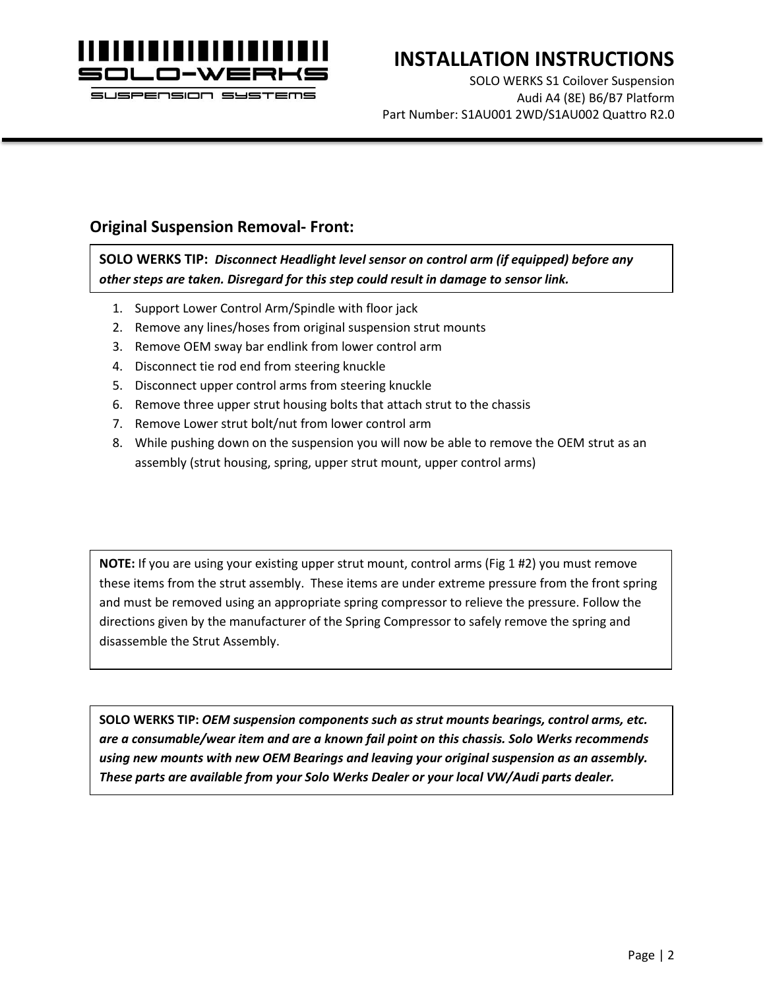

SOLO WERKS S1 Coilover Suspension Audi A4 (8E) B6/B7 Platform Part Number: S1AU001 2WD/S1AU002 Quattro R2.0

### **Original Suspension Removal- Front:**

**SOLO WERKS TIP:** *Disconnect Headlight level sensor on control arm (if equipped) before any other steps are taken. Disregard for this step could result in damage to sensor link.*

- 1. Support Lower Control Arm/Spindle with floor jack
- 2. Remove any lines/hoses from original suspension strut mounts
- 3. Remove OEM sway bar endlink from lower control arm
- 4. Disconnect tie rod end from steering knuckle
- 5. Disconnect upper control arms from steering knuckle
- 6. Remove three upper strut housing bolts that attach strut to the chassis
- 7. Remove Lower strut bolt/nut from lower control arm
- 8. While pushing down on the suspension you will now be able to remove the OEM strut as an assembly (strut housing, spring, upper strut mount, upper control arms)

**NOTE:** If you are using your existing upper strut mount, control arms (Fig 1 #2) you must remove these items from the strut assembly. These items are under extreme pressure from the front spring and must be removed using an appropriate spring compressor to relieve the pressure. Follow the directions given by the manufacturer of the Spring Compressor to safely remove the spring and disassemble the Strut Assembly.

**SOLO WERKS TIP:** *OEM suspension components such as strut mounts bearings, control arms, etc. are a consumable/wear item and are a known fail point on this chassis. Solo Werks recommends using new mounts with new OEM Bearings and leaving your original suspension as an assembly. These parts are available from your Solo Werks Dealer or your local VW/Audi parts dealer.*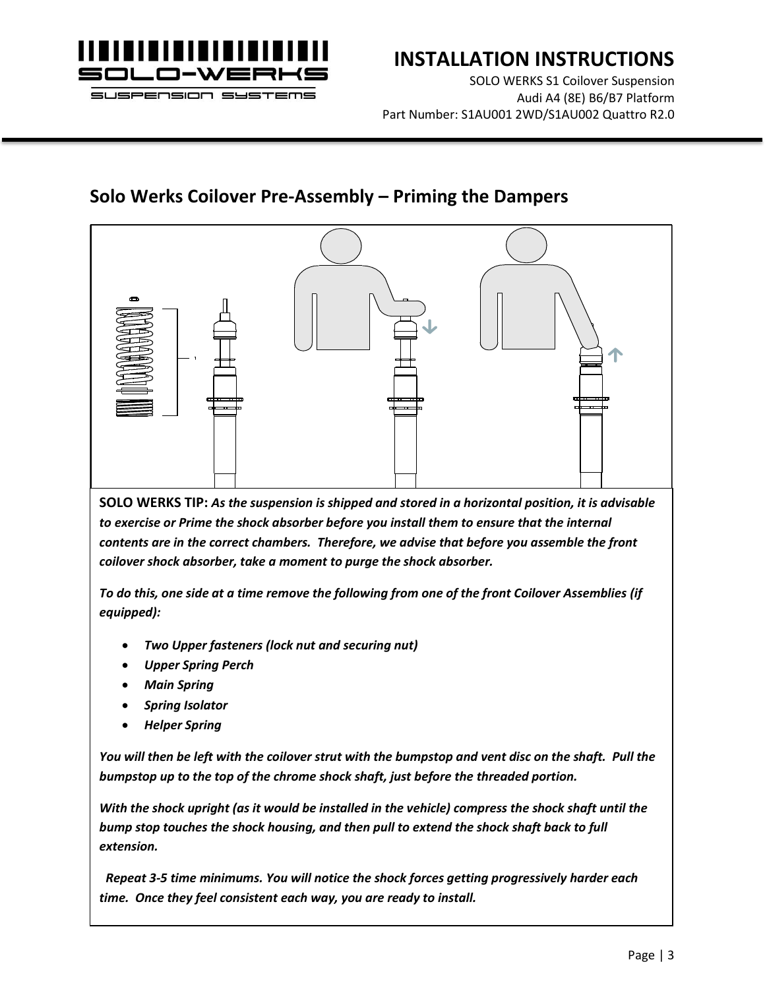

SOLO WERKS S1 Coilover Suspension Audi A4 (8E) B6/B7 Platform Part Number: S1AU001 2WD/S1AU002 Quattro R2.0

### **Solo Werks Coilover Pre-Assembly – Priming the Dampers**

**SOLO WERKS TIP:** *As the suspension is shipped and stored in a horizontal position, it is advisable to exercise or Prime the shock absorber before you install them to ensure that the internal contents are in the correct chambers. Therefore, we advise that before you assemble the front coilover shock absorber, take a moment to purge the shock absorber.* 

*To do this, one side at a time remove the following from one of the front Coilover Assemblies (if equipped):*

- *Two Upper fasteners (lock nut and securing nut)*
- *Upper Spring Perch*
- *Main Spring*
- *Spring Isolator*
- *Helper Spring*

*You will then be left with the coilover strut with the bumpstop and vent disc on the shaft. Pull the bumpstop up to the top of the chrome shock shaft, just before the threaded portion.* 

*With the shock upright (as it would be installed in the vehicle) compress the shock shaft until the bump stop touches the shock housing, and then pull to extend the shock shaft back to full extension.*

 *Repeat 3-5 time minimums. You will notice the shock forces getting progressively harder each time. Once they feel consistent each way, you are ready to install.*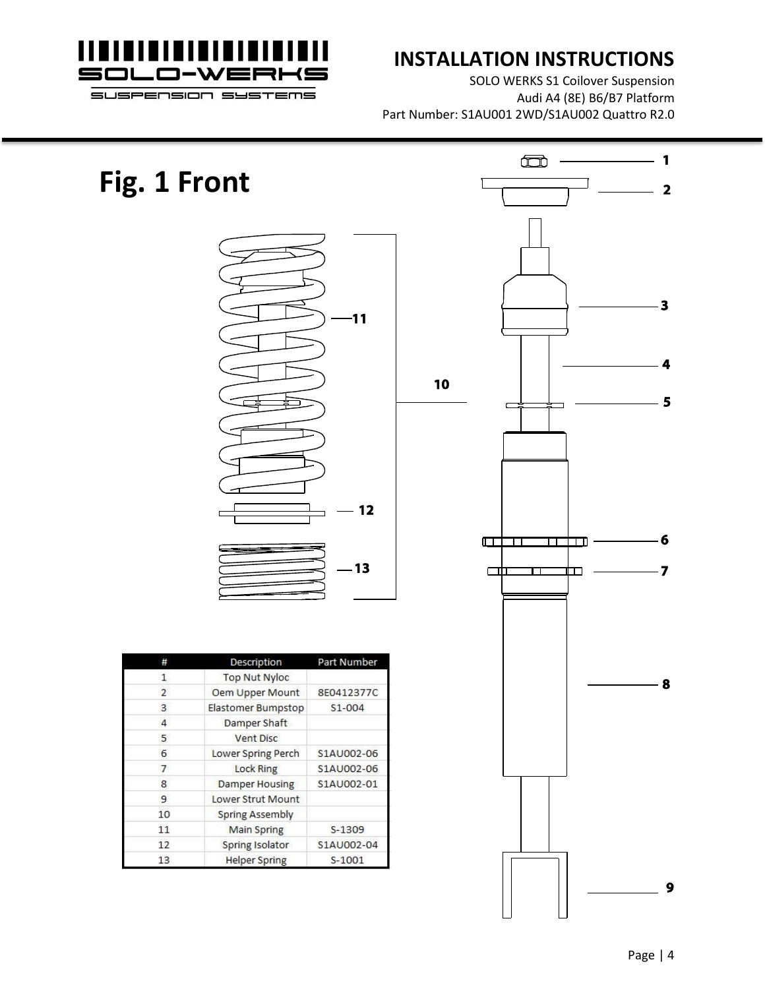

SOLO WERKS S1 Coilover Suspension Audi A4 (8E) B6/B7 Platform Part Number: S1AU001 2WD/S1AU002 Quattro R2.0

# **Fig. 1 Front**



|               | Description          | Part Number |  |  |
|---------------|----------------------|-------------|--|--|
| 1             | <b>Top Nut Nyloc</b> |             |  |  |
| $\mathcal{P}$ | Oem Upper Mount      | 8E0412377C  |  |  |
| 3             | Elastomer Bumpstop   | S1-004      |  |  |
| 4             | Damper Shaft         |             |  |  |
| 5             | Vent Disc            |             |  |  |
| 6             | Lower Spring Perch   | S1AU002-06  |  |  |
| 7             | Lock Ring            | S1AU002-06  |  |  |
| 8             | Damper Housing       | S1AU002-01  |  |  |
| 9             | Lower Strut Mount    |             |  |  |
| 10            | Spring Assembly      |             |  |  |
| 11            | Main Spring          | S-1309      |  |  |
| 12            | Spring Isolator      | S1AU002-04  |  |  |
| 13            | <b>Helper Spring</b> | $S-1001$    |  |  |

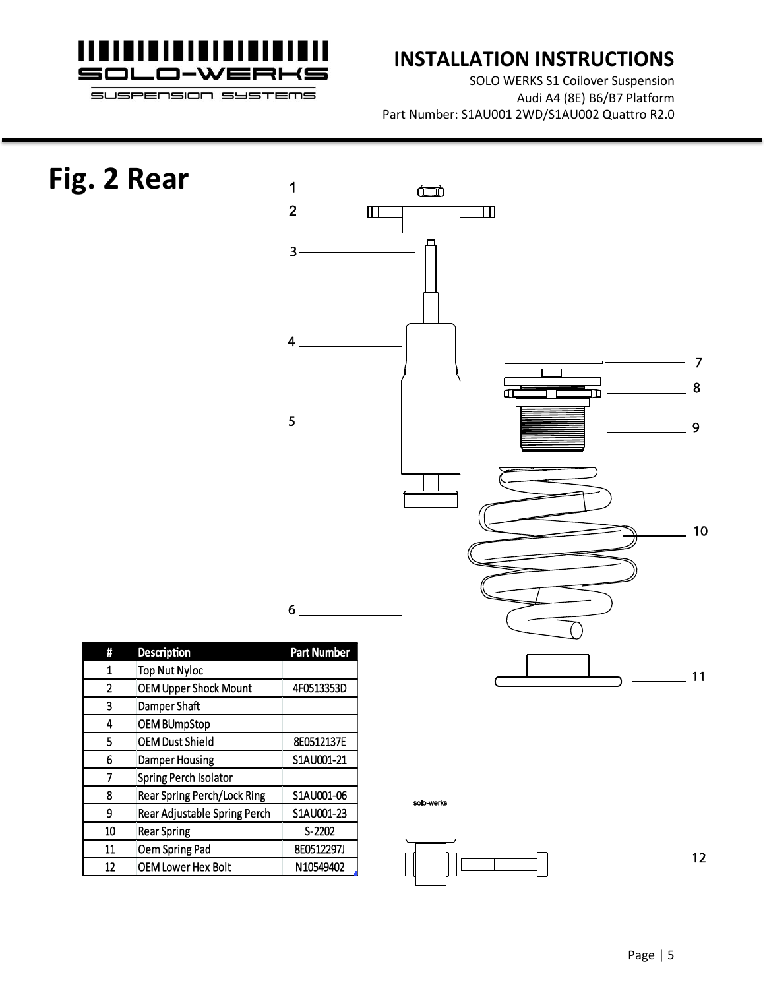

SOLO WERKS S1 Coilover Suspension Audi A4 (8E) B6/B7 Platform Part Number: S1AU001 2WD/S1AU002 Quattro R2.0

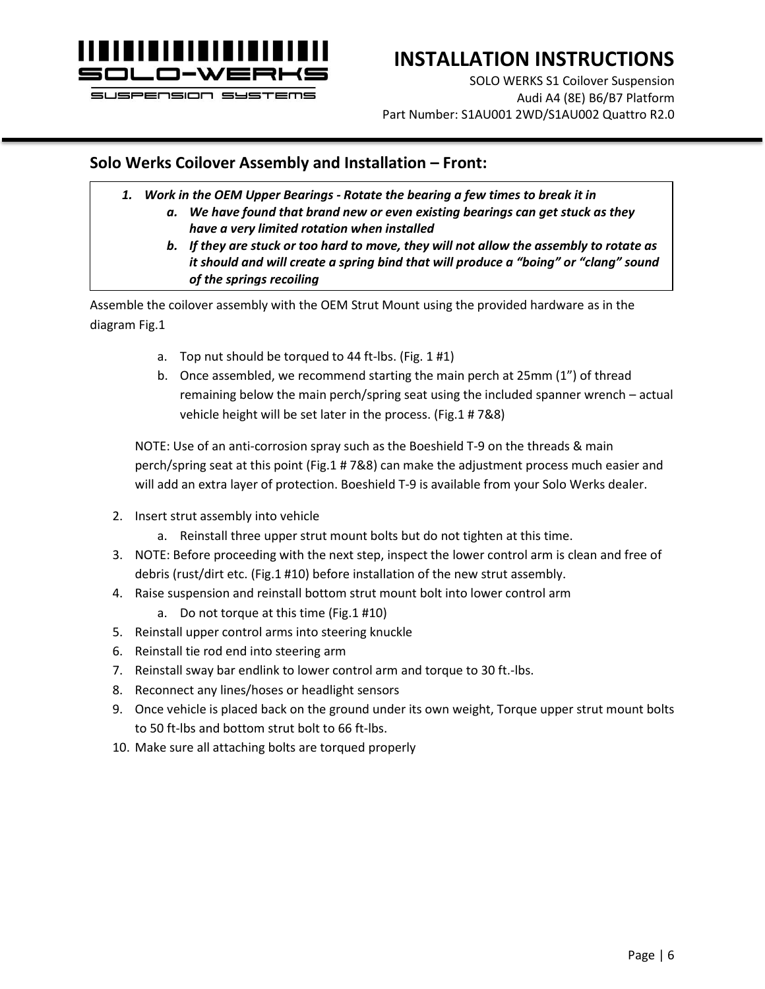

# **INSTALLATION INSTRUCTIONS**

SOLO WERKS S1 Coilover Suspension Audi A4 (8E) B6/B7 Platform Part Number: S1AU001 2WD/S1AU002 Quattro R2.0

### **Solo Werks Coilover Assembly and Installation – Front:**

- *1. Work in the OEM Upper Bearings - Rotate the bearing a few times to break it in*
	- *a. We have found that brand new or even existing bearings can get stuck as they have a very limited rotation when installed*
	- *b. If they are stuck or too hard to move, they will not allow the assembly to rotate as it should and will create a spring bind that will produce a "boing" or "clang" sound of the springs recoiling*

Assemble the coilover assembly with the OEM Strut Mount using the provided hardware as in the diagram Fig.1

- a. Top nut should be torqued to 44 ft-lbs. (Fig. 1 #1)
- b. Once assembled, we recommend starting the main perch at 25mm (1") of thread remaining below the main perch/spring seat using the included spanner wrench – actual vehicle height will be set later in the process. (Fig.1 # 7&8)

NOTE: Use of an anti-corrosion spray such as the Boeshield T-9 on the threads & main perch/spring seat at this point (Fig.1 # 7&8) can make the adjustment process much easier and will add an extra layer of protection. Boeshield T-9 is available from your Solo Werks dealer.

- 2. Insert strut assembly into vehicle
	- a. Reinstall three upper strut mount bolts but do not tighten at this time.
- 3. NOTE: Before proceeding with the next step, inspect the lower control arm is clean and free of debris (rust/dirt etc. (Fig.1 #10) before installation of the new strut assembly.
- 4. Raise suspension and reinstall bottom strut mount bolt into lower control arm
	- a. Do not torque at this time (Fig.1 #10)
- 5. Reinstall upper control arms into steering knuckle
- 6. Reinstall tie rod end into steering arm
- 7. Reinstall sway bar endlink to lower control arm and torque to 30 ft.-lbs.
- 8. Reconnect any lines/hoses or headlight sensors
- 9. Once vehicle is placed back on the ground under its own weight, Torque upper strut mount bolts to 50 ft-lbs and bottom strut bolt to 66 ft-lbs.
- 10. Make sure all attaching bolts are torqued properly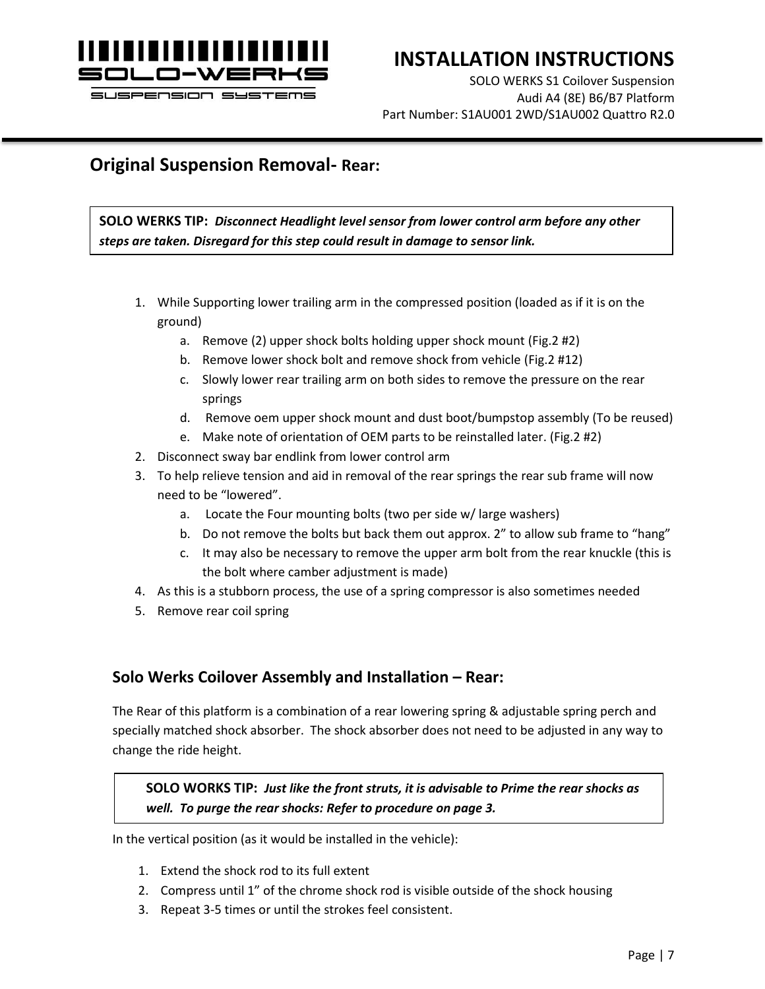

# **INSTALLATION INSTRUCTIONS**

SOLO WERKS S1 Coilover Suspension Audi A4 (8E) B6/B7 Platform Part Number: S1AU001 2WD/S1AU002 Quattro R2.0

### **Original Suspension Removal- Rear:**

**SOLO WERKS TIP:** *Disconnect Headlight level sensor from lower control arm before any other steps are taken. Disregard for this step could result in damage to sensor link.*

- 1. While Supporting lower trailing arm in the compressed position (loaded as if it is on the ground)
	- a. Remove (2) upper shock bolts holding upper shock mount (Fig.2 #2)
	- b. Remove lower shock bolt and remove shock from vehicle (Fig.2 #12)
	- c. Slowly lower rear trailing arm on both sides to remove the pressure on the rear springs
	- d. Remove oem upper shock mount and dust boot/bumpstop assembly (To be reused)
	- e. Make note of orientation of OEM parts to be reinstalled later. (Fig.2 #2)
- 2. Disconnect sway bar endlink from lower control arm
- 3. To help relieve tension and aid in removal of the rear springs the rear sub frame will now need to be "lowered".
	- a. Locate the Four mounting bolts (two per side w/ large washers)
	- b. Do not remove the bolts but back them out approx. 2" to allow sub frame to "hang"
	- c. It may also be necessary to remove the upper arm bolt from the rear knuckle (this is the bolt where camber adjustment is made)
- 4. As this is a stubborn process, the use of a spring compressor is also sometimes needed
- 5. Remove rear coil spring

### **Solo Werks Coilover Assembly and Installation – Rear:**

The Rear of this platform is a combination of a rear lowering spring & adjustable spring perch and specially matched shock absorber. The shock absorber does not need to be adjusted in any way to change the ride height.

**SOLO WORKS TIP:** *Just like the front struts, it is advisable to Prime the rear shocks as well. To purge the rear shocks: Refer to procedure on page 3.*

In the vertical position (as it would be installed in the vehicle):

- 1. Extend the shock rod to its full extent
- 2. Compress until 1" of the chrome shock rod is visible outside of the shock housing
- 3. Repeat 3-5 times or until the strokes feel consistent.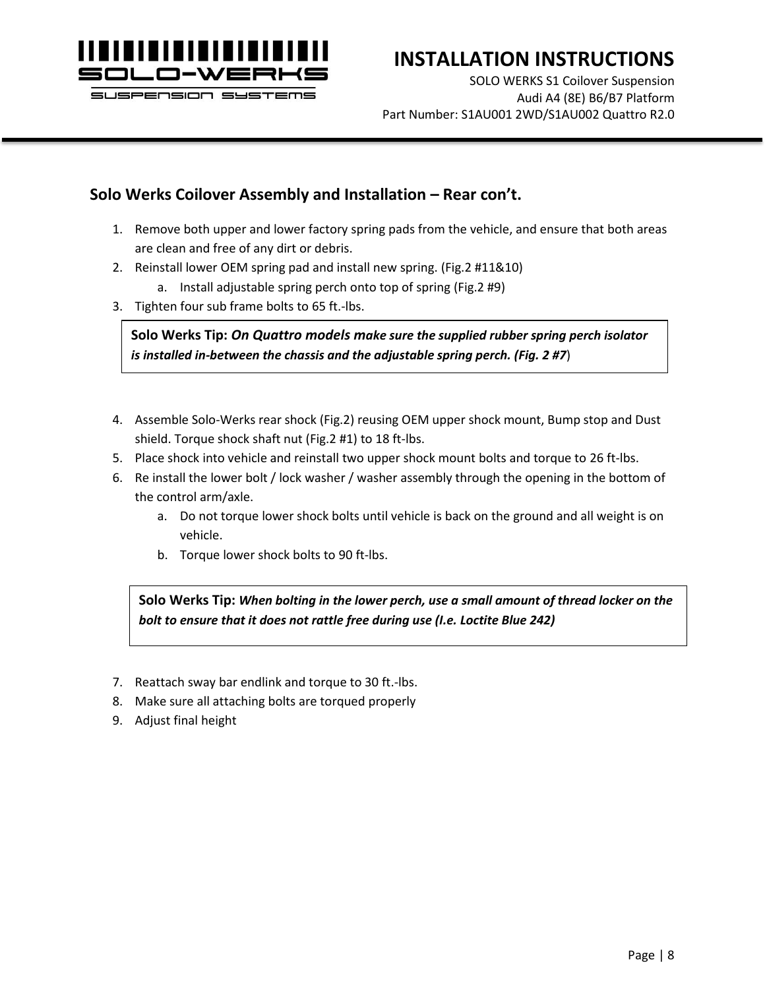

# **INSTALLATION INSTRUCTIONS**

SOLO WERKS S1 Coilover Suspension Audi A4 (8E) B6/B7 Platform Part Number: S1AU001 2WD/S1AU002 Quattro R2.0

### **Solo Werks Coilover Assembly and Installation – Rear con't.**

- 1. Remove both upper and lower factory spring pads from the vehicle, and ensure that both areas are clean and free of any dirt or debris.
- 2. Reinstall lower OEM spring pad and install new spring. (Fig.2 #11&10)
	- a. Install adjustable spring perch onto top of spring (Fig.2 #9)
- 3. Tighten four sub frame bolts to 65 ft.-lbs.

**Solo Werks Tip:** *On Quattro models make sure the supplied rubber spring perch isolator is installed in-between the chassis and the adjustable spring perch. (Fig. 2 #7*)

- 4. Assemble Solo-Werks rear shock (Fig.2) reusing OEM upper shock mount, Bump stop and Dust shield. Torque shock shaft nut (Fig.2 #1) to 18 ft-lbs.
- 5. Place shock into vehicle and reinstall two upper shock mount bolts and torque to 26 ft-lbs.
- 6. Re install the lower bolt / lock washer / washer assembly through the opening in the bottom of the control arm/axle.
	- a. Do not torque lower shock bolts until vehicle is back on the ground and all weight is on vehicle.
	- b. Torque lower shock bolts to 90 ft-lbs.

**Solo Werks Tip:** *When bolting in the lower perch, use a small amount of thread locker on the bolt to ensure that it does not rattle free during use (I.e. Loctite Blue 242)*

- 7. Reattach sway bar endlink and torque to 30 ft.-lbs.
- 8. Make sure all attaching bolts are torqued properly
- 9. Adjust final height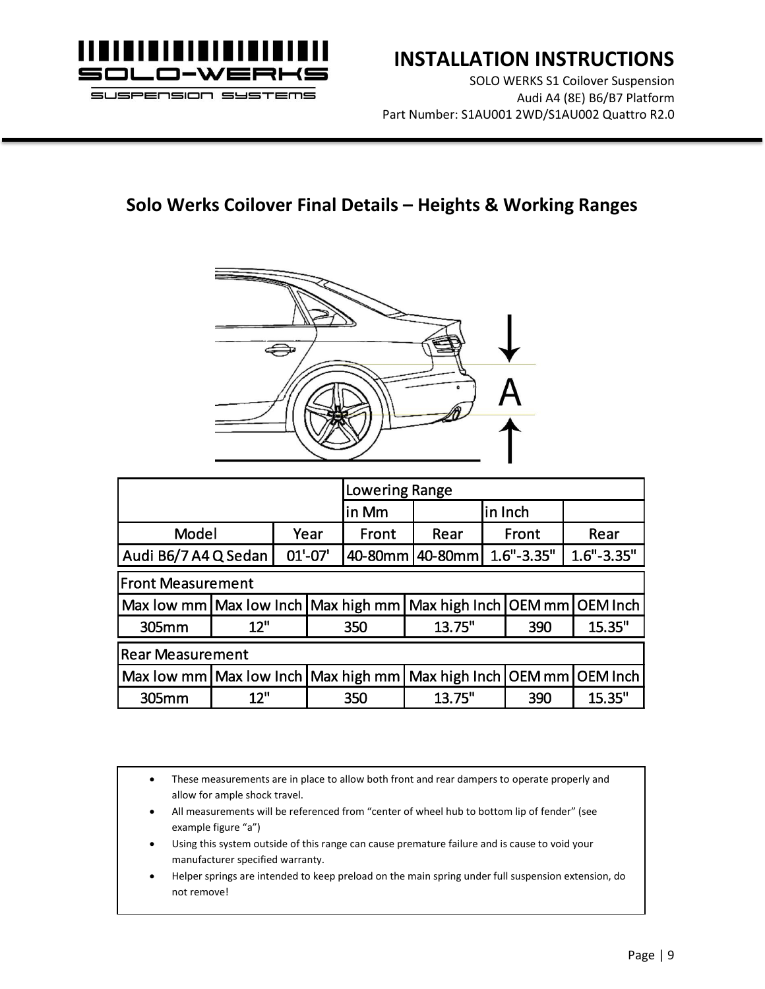

SOLO WERKS S1 Coilover Suspension Audi A4 (8E) B6/B7 Platform Part Number: S1AU001 2WD/S1AU002 Quattro R2.0

# **Solo Werks Coilover Final Details – Heights & Working Ranges**



|                                                                  |                                                                             |      | <b>Lowering Range</b> |         |         |                |      |                |  |
|------------------------------------------------------------------|-----------------------------------------------------------------------------|------|-----------------------|---------|---------|----------------|------|----------------|--|
|                                                                  |                                                                             |      | lin Mm                | in Inch |         |                |      |                |  |
| Model                                                            |                                                                             | Year | Front                 | Rear    | Front   |                | Rear |                |  |
| Audi B6/7 A4 Q Sedan                                             |                                                                             |      | $01'-07'$             | 40-80mm | 40-80mm | $1.6" - 3.35"$ |      | $1.6" - 3.35"$ |  |
| <b>Front Measurement</b>                                         |                                                                             |      |                       |         |         |                |      |                |  |
|                                                                  | Max low mm   Max low Inch   Max high mm   Max high Inch   OEM mm   OEM Inch |      |                       |         |         |                |      |                |  |
| 305mm                                                            | 12"                                                                         |      |                       | 350     | 13.75"  |                | 390  | 15.35"         |  |
| <b>Rear Measurement</b>                                          |                                                                             |      |                       |         |         |                |      |                |  |
| Max low mm   Max low Inch   Max high mm   Max high Inch   OEM mm |                                                                             |      |                       |         |         |                |      | OEM Inch       |  |
| 305mm                                                            | 12"                                                                         |      |                       | 350     | 13.75"  |                | 390  | 15.35"         |  |

• These measurements are in place to allow both front and rear dampers to operate properly and allow for ample shock travel.

- All measurements will be referenced from "center of wheel hub to bottom lip of fender" (see example figure "a")
- Using this system outside of this range can cause premature failure and is cause to void your manufacturer specified warranty.
- Helper springs are intended to keep preload on the main spring under full suspension extension, do not remove!